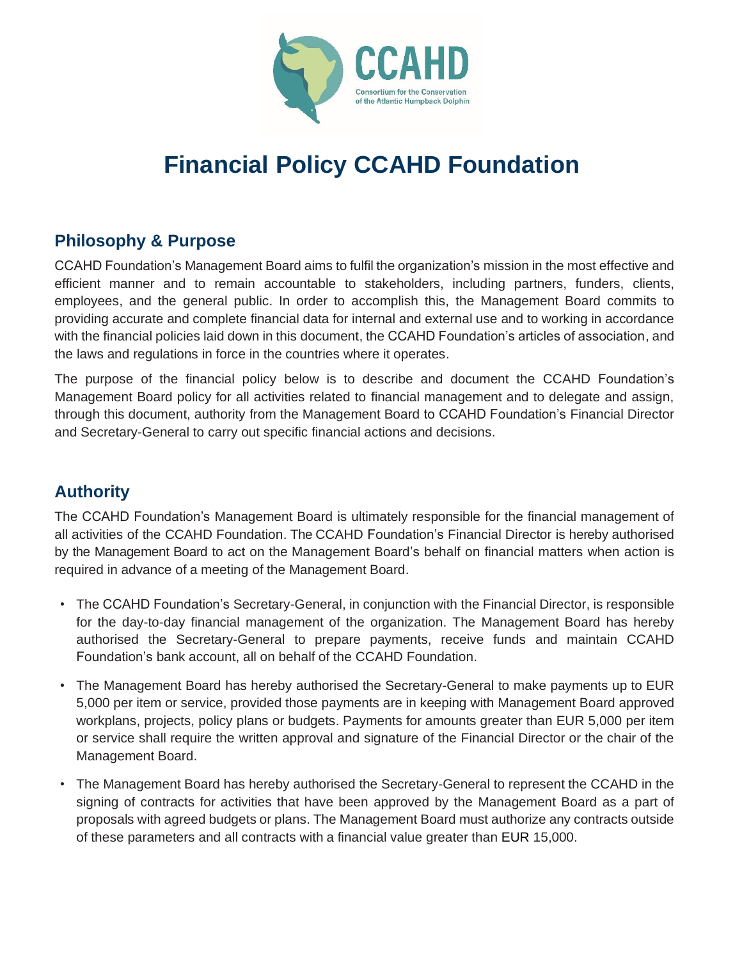

# **Financial Policy CCAHD Foundation**

#### **Philosophy & Purpose**

CCAHD Foundation's Management Board aims to fulfil the organization's mission in the most effective and efficient manner and to remain accountable to stakeholders, including partners, funders, clients, employees, and the general public. In order to accomplish this, the Management Board commits to providing accurate and complete financial data for internal and external use and to working in accordance with the financial policies laid down in this document, the CCAHD Foundation's articles of association, and the laws and regulations in force in the countries where it operates.

The purpose of the financial policy below is to describe and document the CCAHD Foundation's Management Board policy for all activities related to financial management and to delegate and assign, through this document, authority from the Management Board to CCAHD Foundation's Financial Director and Secretary-General to carry out specific financial actions and decisions.

# **Authority**

The CCAHD Foundation's Management Board is ultimately responsible for the financial management of all activities of the CCAHD Foundation. The CCAHD Foundation's Financial Director is hereby authorised by the Management Board to act on the Management Board's behalf on financial matters when action is required in advance of a meeting of the Management Board.

- The CCAHD Foundation's Secretary-General, in conjunction with the Financial Director, is responsible for the day-to-day financial management of the organization. The Management Board has hereby authorised the Secretary-General to prepare payments, receive funds and maintain CCAHD Foundation's bank account, all on behalf of the CCAHD Foundation.
- The Management Board has hereby authorised the Secretary-General to make payments up to EUR 5,000 per item or service, provided those payments are in keeping with Management Board approved workplans, projects, policy plans or budgets. Payments for amounts greater than EUR 5,000 per item or service shall require the written approval and signature of the Financial Director or the chair of the Management Board.
- The Management Board has hereby authorised the Secretary-General to represent the CCAHD in the signing of contracts for activities that have been approved by the Management Board as a part of proposals with agreed budgets or plans. The Management Board must authorize any contracts outside of these parameters and all contracts with a financial value greater than EUR 15,000.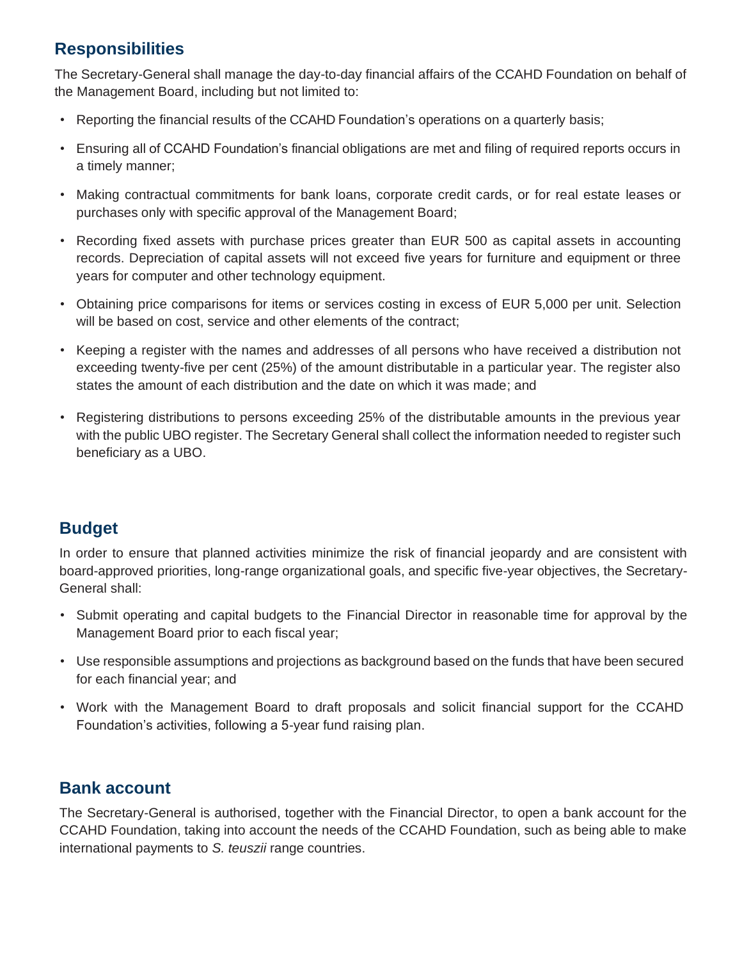# **Responsibilities**

The Secretary-General shall manage the day-to-day financial affairs of the CCAHD Foundation on behalf of the Management Board, including but not limited to:

- Reporting the financial results of the CCAHD Foundation's operations on a quarterly basis;
- Ensuring all of CCAHD Foundation's financial obligations are met and filing of required reports occurs in a timely manner;
- Making contractual commitments for bank loans, corporate credit cards, or for real estate leases or purchases only with specific approval of the Management Board;
- Recording fixed assets with purchase prices greater than EUR 500 as capital assets in accounting records. Depreciation of capital assets will not exceed five years for furniture and equipment or three years for computer and other technology equipment.
- Obtaining price comparisons for items or services costing in excess of EUR 5,000 per unit. Selection will be based on cost, service and other elements of the contract;
- Keeping a register with the names and addresses of all persons who have received a distribution not exceeding twenty-five per cent (25%) of the amount distributable in a particular year. The register also states the amount of each distribution and the date on which it was made; and
- Registering distributions to persons exceeding 25% of the distributable amounts in the previous year with the public UBO register. The Secretary General shall collect the information needed to register such beneficiary as a UBO.

## **Budget**

In order to ensure that planned activities minimize the risk of financial jeopardy and are consistent with board-approved priorities, long-range organizational goals, and specific five-year objectives, the Secretary-General shall:

- Submit operating and capital budgets to the Financial Director in reasonable time for approval by the Management Board prior to each fiscal year;
- Use responsible assumptions and projections as background based on the funds that have been secured for each financial year; and
- Work with the Management Board to draft proposals and solicit financial support for the CCAHD Foundation's activities, following a 5-year fund raising plan.

## **Bank account**

The Secretary-General is authorised, together with the Financial Director, to open a bank account for the CCAHD Foundation, taking into account the needs of the CCAHD Foundation, such as being able to make international payments to *S. teuszii* range countries.